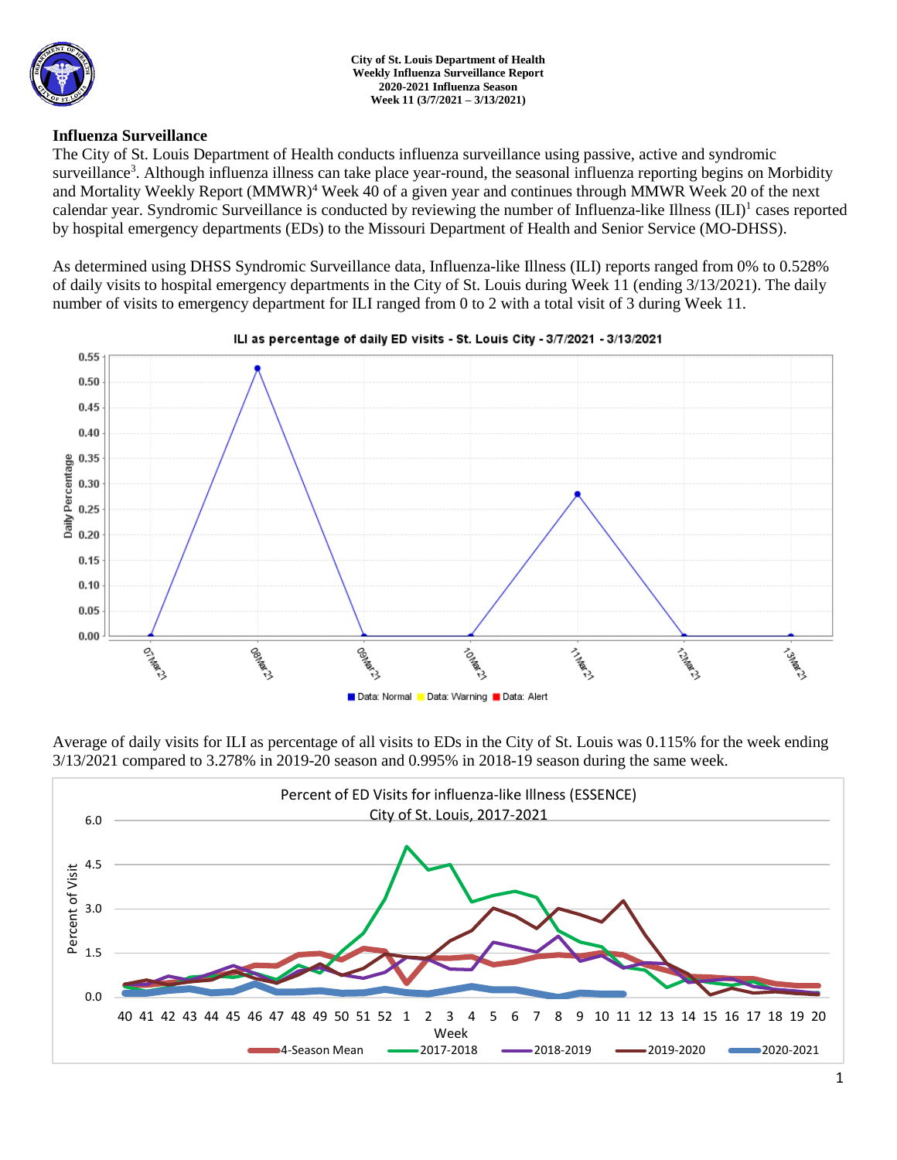

### **Influenza Surveillance**

The City of St. Louis Department of Health conducts influenza surveillance using passive, active and syndromic surveillance<sup>3</sup>. Although influenza illness can take place year-round, the seasonal influenza reporting begins on Morbidity and Mortality Weekly Report (MMWR)<sup>4</sup> Week 40 of a given year and continues through MMWR Week 20 of the next calendar year. Syndromic Surveillance is conducted by reviewing the number of Influenza-like Illness (ILI)<sup>1</sup> cases reported by hospital emergency departments (EDs) to the Missouri Department of Health and Senior Service (MO-DHSS).

As determined using DHSS Syndromic Surveillance data, Influenza-like Illness (ILI) reports ranged from 0% to 0.528% of daily visits to hospital emergency departments in the City of St. Louis during Week 11 (ending 3/13/2021). The daily number of visits to emergency department for ILI ranged from 0 to 2 with a total visit of 3 during Week 11.



Average of daily visits for ILI as percentage of all visits to EDs in the City of St. Louis was 0.115% for the week ending 3/13/2021 compared to 3.278% in 2019-20 season and 0.995% in 2018-19 season during the same week.

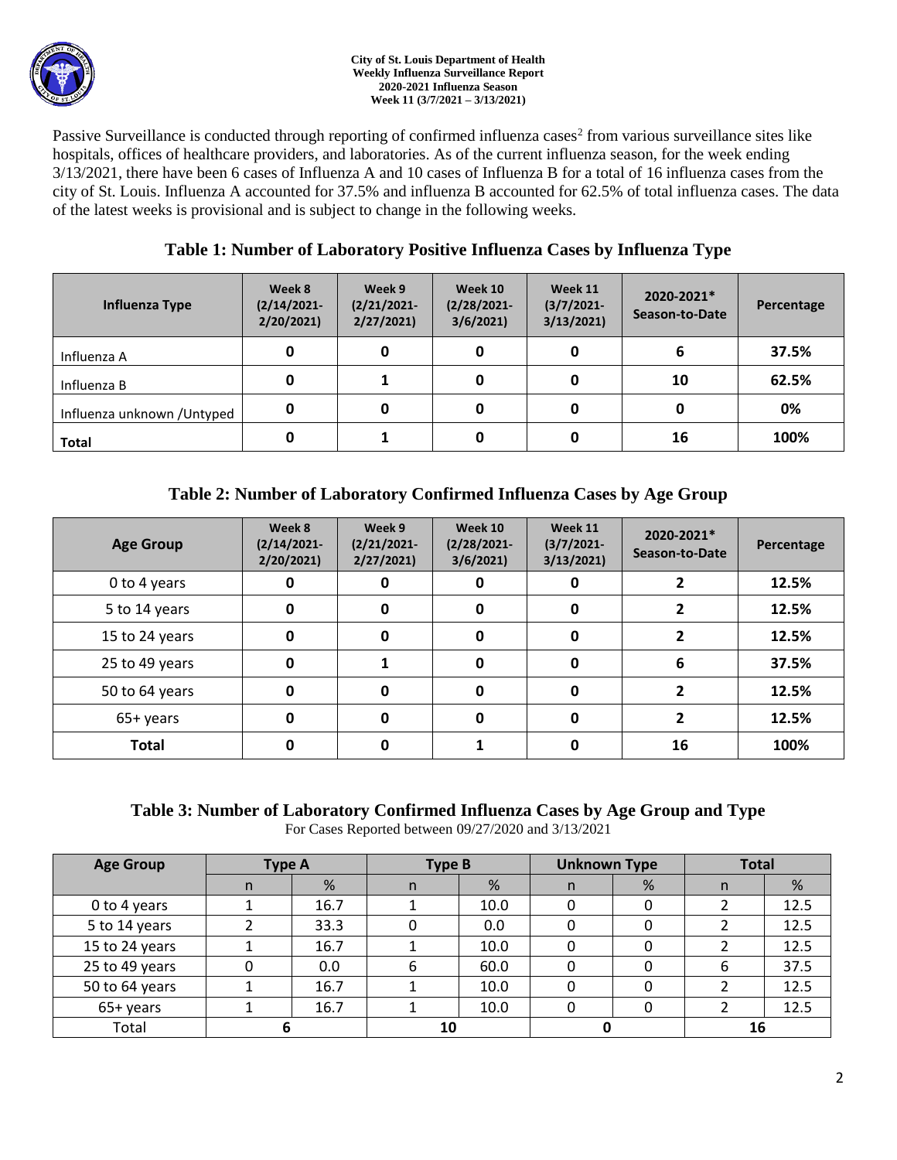

#### **City of St. Louis Department of Health Weekly Influenza Surveillance Report 2020-2021 Influenza Season Week 11 (3/7/2021 – 3/13/2021)**

Passive Surveillance is conducted through reporting of confirmed influenza cases<sup>2</sup> from various surveillance sites like hospitals, offices of healthcare providers, and laboratories. As of the current influenza season, for the week ending 3/13/2021, there have been 6 cases of Influenza A and 10 cases of Influenza B for a total of 16 influenza cases from the city of St. Louis. Influenza A accounted for 37.5% and influenza B accounted for 62.5% of total influenza cases. The data of the latest weeks is provisional and is subject to change in the following weeks.

# **Table 1: Number of Laboratory Positive Influenza Cases by Influenza Type**

| Influenza Type              | Week 8<br>$(2/14/2021 -$<br>2/20/2021 | Week 9<br>$(2/21/2021 -$<br>2/27/2021 | Week 10<br>$(2/28/2021 -$<br>3/6/2021 | Week 11<br>$(3/7/2021 -$<br>3/13/2021 | 2020-2021*<br>Season-to-Date | Percentage |
|-----------------------------|---------------------------------------|---------------------------------------|---------------------------------------|---------------------------------------|------------------------------|------------|
| Influenza A                 | 0                                     |                                       | 0                                     |                                       | 6                            | 37.5%      |
| Influenza B                 | 0                                     |                                       | 0                                     |                                       | 10                           | 62.5%      |
| Influenza unknown / Untyped | 0                                     | 0                                     | 0                                     |                                       | 0                            | 0%         |
| <b>Total</b>                | 0                                     |                                       | 0                                     |                                       | 16                           | 100%       |

# **Table 2: Number of Laboratory Confirmed Influenza Cases by Age Group**

| <b>Age Group</b> | Week 8<br>$(2/14/2021 -$<br>2/20/2021 | Week 9<br>$(2/21/2021 -$<br>2/27/2021 | Week 10<br>$(2/28/2021 -$<br>3/6/2021 | Week 11<br>$(3/7/2021 -$<br>3/13/2021 | 2020-2021*<br>Season-to-Date | Percentage |
|------------------|---------------------------------------|---------------------------------------|---------------------------------------|---------------------------------------|------------------------------|------------|
| 0 to 4 years     | 0                                     |                                       | 0                                     |                                       |                              | 12.5%      |
| 5 to 14 years    | 0                                     | 0                                     | 0                                     | 0                                     |                              | 12.5%      |
| 15 to 24 years   | 0                                     | 0                                     | 0                                     | 0                                     |                              | 12.5%      |
| 25 to 49 years   | 0                                     |                                       | 0                                     | O                                     | 6                            | 37.5%      |
| 50 to 64 years   | 0                                     | O                                     | $\mathbf 0$                           | O                                     |                              | 12.5%      |
| 65+ years        | 0                                     | O                                     | 0                                     | 0                                     |                              | 12.5%      |
| <b>Total</b>     | 0                                     |                                       |                                       |                                       | 16                           | 100%       |

### **Table 3: Number of Laboratory Confirmed Influenza Cases by Age Group and Type** For Cases Reported between 09/27/2020 and 3/13/2021

| <b>Age Group</b> | <b>Type A</b> |      | <b>Type B</b> |      | <b>Unknown Type</b> |   | <b>Total</b> |      |
|------------------|---------------|------|---------------|------|---------------------|---|--------------|------|
|                  | n             | %    | n             | %    | n                   | % | n            | %    |
| 0 to 4 years     |               | 16.7 |               | 10.0 | 0                   |   |              | 12.5 |
| 5 to 14 years    |               | 33.3 |               | 0.0  | 0                   |   |              | 12.5 |
| 15 to 24 years   |               | 16.7 |               | 10.0 | 0                   |   |              | 12.5 |
| 25 to 49 years   | 0             | 0.0  | 6             | 60.0 | 0                   |   | 6            | 37.5 |
| 50 to 64 years   |               | 16.7 |               | 10.0 | 0                   |   |              | 12.5 |
| 65+ years        |               | 16.7 |               | 10.0 | 0                   |   |              | 12.5 |
| Total            |               |      | 10            |      |                     |   | 16           |      |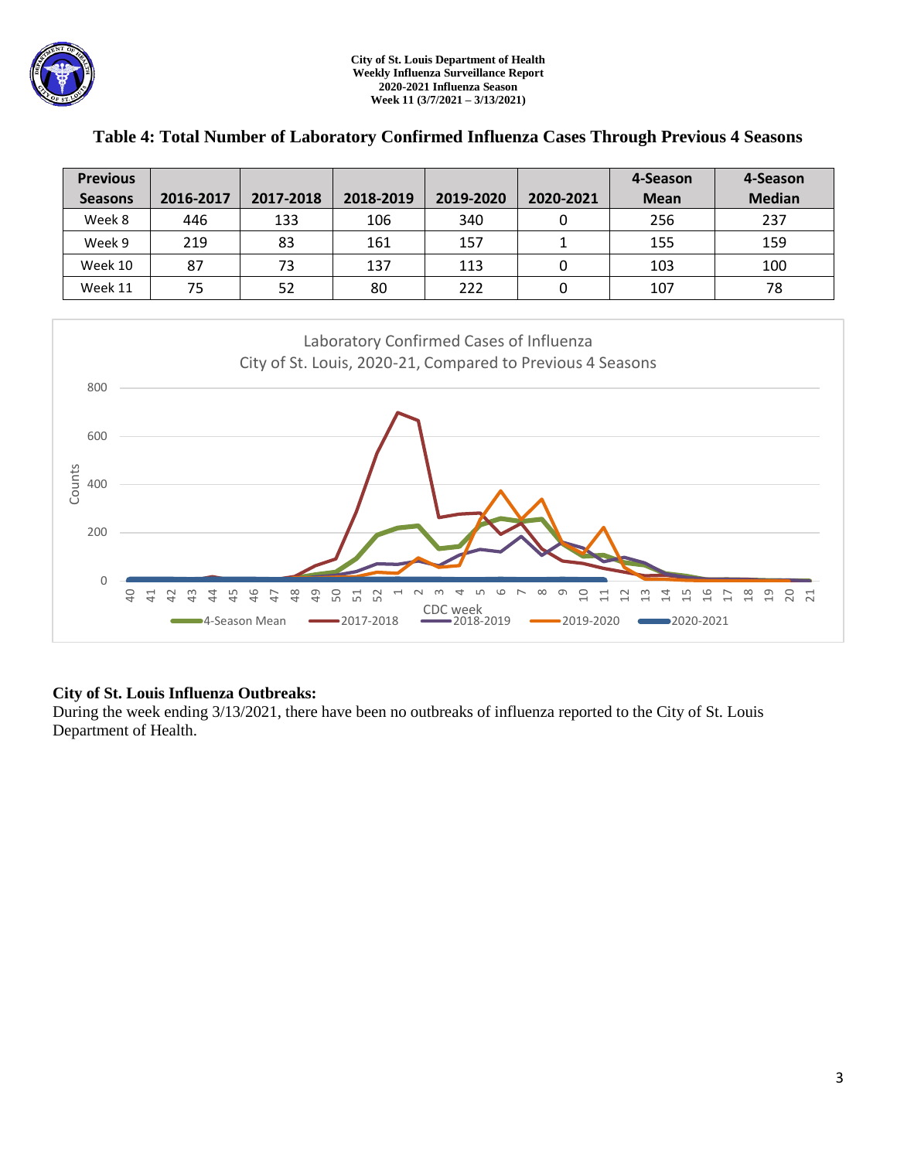| <b>Previous</b> |           |           |           |           |           | 4-Season    | 4-Season      |
|-----------------|-----------|-----------|-----------|-----------|-----------|-------------|---------------|
| <b>Seasons</b>  | 2016-2017 | 2017-2018 | 2018-2019 | 2019-2020 | 2020-2021 | <b>Mean</b> | <b>Median</b> |
| Week 8          | 446       | 133       | 106       | 340       |           | 256         | 237           |
| Week 9          | 219       | 83        | 161       | 157       |           | 155         | 159           |
| Week 10         | 87        | 73        | 137       | 113       |           | 103         | 100           |
| Week 11         | 75        | 52        | 80        | 222       | 0         | 107         | 78            |

# **Table 4: Total Number of Laboratory Confirmed Influenza Cases Through Previous 4 Seasons**



## **City of St. Louis Influenza Outbreaks:**

During the week ending 3/13/2021, there have been no outbreaks of influenza reported to the City of St. Louis Department of Health.